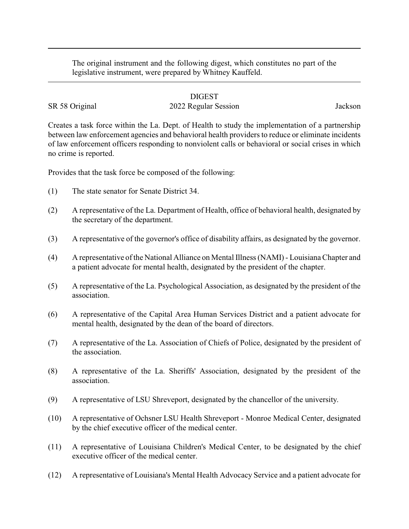The original instrument and the following digest, which constitutes no part of the legislative instrument, were prepared by Whitney Kauffeld.

## DIGEST

## SR 58 Original 2022 Regular Session Jackson

Creates a task force within the La. Dept. of Health to study the implementation of a partnership between law enforcement agencies and behavioral health providers to reduce or eliminate incidents of law enforcement officers responding to nonviolent calls or behavioral or social crises in which no crime is reported.

Provides that the task force be composed of the following:

- (1) The state senator for Senate District 34.
- (2) A representative of the La. Department of Health, office of behavioral health, designated by the secretary of the department.
- (3) A representative of the governor's office of disability affairs, as designated by the governor.
- (4) A representative of the National Alliance on Mental Illness (NAMI) Louisiana Chapter and a patient advocate for mental health, designated by the president of the chapter.
- (5) A representative of the La. Psychological Association, as designated by the president of the association.
- (6) A representative of the Capital Area Human Services District and a patient advocate for mental health, designated by the dean of the board of directors.
- (7) A representative of the La. Association of Chiefs of Police, designated by the president of the association.
- (8) A representative of the La. Sheriffs' Association, designated by the president of the association.
- (9) A representative of LSU Shreveport, designated by the chancellor of the university.
- (10) A representative of Ochsner LSU Health Shreveport Monroe Medical Center, designated by the chief executive officer of the medical center.
- (11) A representative of Louisiana Children's Medical Center, to be designated by the chief executive officer of the medical center.
- (12) A representative of Louisiana's Mental Health Advocacy Service and a patient advocate for